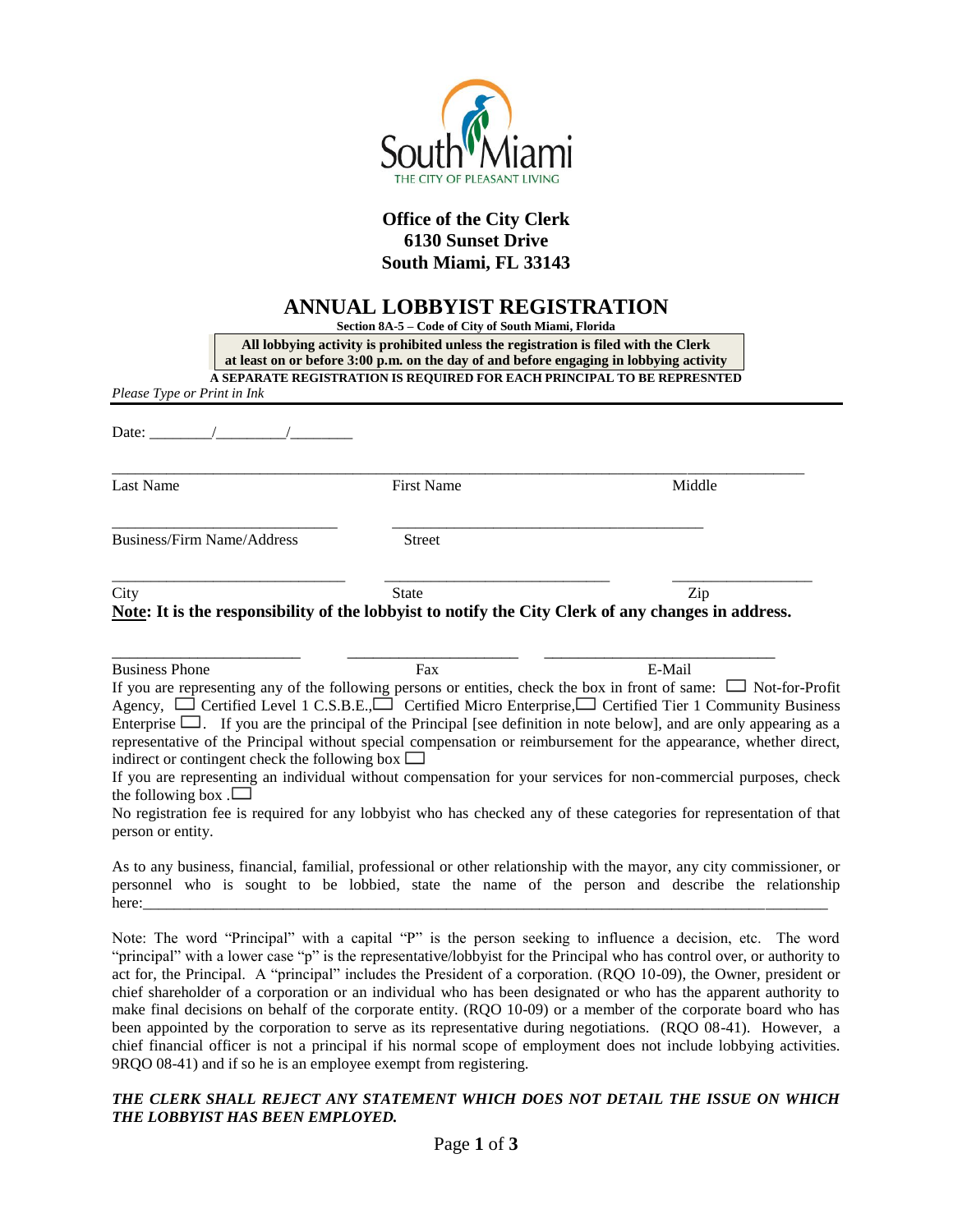

#### **Office of the City Clerk 6130 Sunset Drive South Miami, FL 33143**

### **ANNUAL LOBBYIST REGISTRATION**

| LE LODD I IOI REGIO INITION<br>Section 8A-5 - Code of City of South Miami, Florida<br>All lobbying activity is prohibited unless the registration is filed with the Clerk<br>at least on or before 3:00 p.m. on the day of and before engaging in lobbying activity<br>A SEPARATE REGISTRATION IS REQUIRED FOR EACH PRINCIPAL TO BE REPRESNTED<br>Please Type or Print in Ink |                                                             |                                                                                                                                                                                                                                                                                                                                                                                                                                                                                                                                                                                                                                                                                                                                                           |  |  |  |
|-------------------------------------------------------------------------------------------------------------------------------------------------------------------------------------------------------------------------------------------------------------------------------------------------------------------------------------------------------------------------------|-------------------------------------------------------------|-----------------------------------------------------------------------------------------------------------------------------------------------------------------------------------------------------------------------------------------------------------------------------------------------------------------------------------------------------------------------------------------------------------------------------------------------------------------------------------------------------------------------------------------------------------------------------------------------------------------------------------------------------------------------------------------------------------------------------------------------------------|--|--|--|
| Date:                                                                                                                                                                                                                                                                                                                                                                         |                                                             |                                                                                                                                                                                                                                                                                                                                                                                                                                                                                                                                                                                                                                                                                                                                                           |  |  |  |
| <b>Last Name</b>                                                                                                                                                                                                                                                                                                                                                              | <b>First Name</b>                                           | Middle                                                                                                                                                                                                                                                                                                                                                                                                                                                                                                                                                                                                                                                                                                                                                    |  |  |  |
| <b>Business/Firm Name/Address</b>                                                                                                                                                                                                                                                                                                                                             | <b>Street</b>                                               |                                                                                                                                                                                                                                                                                                                                                                                                                                                                                                                                                                                                                                                                                                                                                           |  |  |  |
| City                                                                                                                                                                                                                                                                                                                                                                          | <b>State</b>                                                | Zip<br>Note: It is the responsibility of the lobbyist to notify the City Clerk of any changes in address.                                                                                                                                                                                                                                                                                                                                                                                                                                                                                                                                                                                                                                                 |  |  |  |
| <b>Business Phone</b><br>indirect or contingent check the following box $\Box$<br>the following box . $\Box$<br>person or entity.                                                                                                                                                                                                                                             | Fax                                                         | E-Mail<br>If you are representing any of the following persons or entities, check the box in front of same: $\Box$ Not-for-Profit<br>Agency, $\Box$ Certified Level 1 C.S.B.E., $\Box$ Certified Micro Enterprise, $\Box$ Certified Tier 1 Community Business<br>Enterprise $\Box$ . If you are the principal of the Principal [see definition in note below], and are only appearing as a<br>representative of the Principal without special compensation or reimbursement for the appearance, whether direct,<br>If you are representing an individual without compensation for your services for non-commercial purposes, check<br>No registration fee is required for any lobbyist who has checked any of these categories for representation of that |  |  |  |
| here:<br>$1.777 \pm 0.11$ $1.177 \pm 0.11$                                                                                                                                                                                                                                                                                                                                    | $\mathcal{F}$ . The company $\mathcal{F}$ and $\mathcal{F}$ | As to any business, financial, familial, professional or other relationship with the mayor, any city commissioner, or<br>personnel who is sought to be lobbied, state the name of the person and describe the relationship                                                                                                                                                                                                                                                                                                                                                                                                                                                                                                                                |  |  |  |

Note: The word "Principal" with a capital "P" is the person seeking to influence a decision, etc. The word "principal" with a lower case "p" is the representative/lobbyist for the Principal who has control over, or authority to act for, the Principal. A "principal" includes the President of a corporation. (RQO 10-09), the Owner, president or chief shareholder of a corporation or an individual who has been designated or who has the apparent authority to make final decisions on behalf of the corporate entity. (RQO 10-09) or a member of the corporate board who has been appointed by the corporation to serve as its representative during negotiations. (RQO 08-41). However, a chief financial officer is not a principal if his normal scope of employment does not include lobbying activities. 9RQO 08-41) and if so he is an employee exempt from registering.

#### *THE CLERK SHALL REJECT ANY STATEMENT WHICH DOES NOT DETAIL THE ISSUE ON WHICH THE LOBBYIST HAS BEEN EMPLOYED.*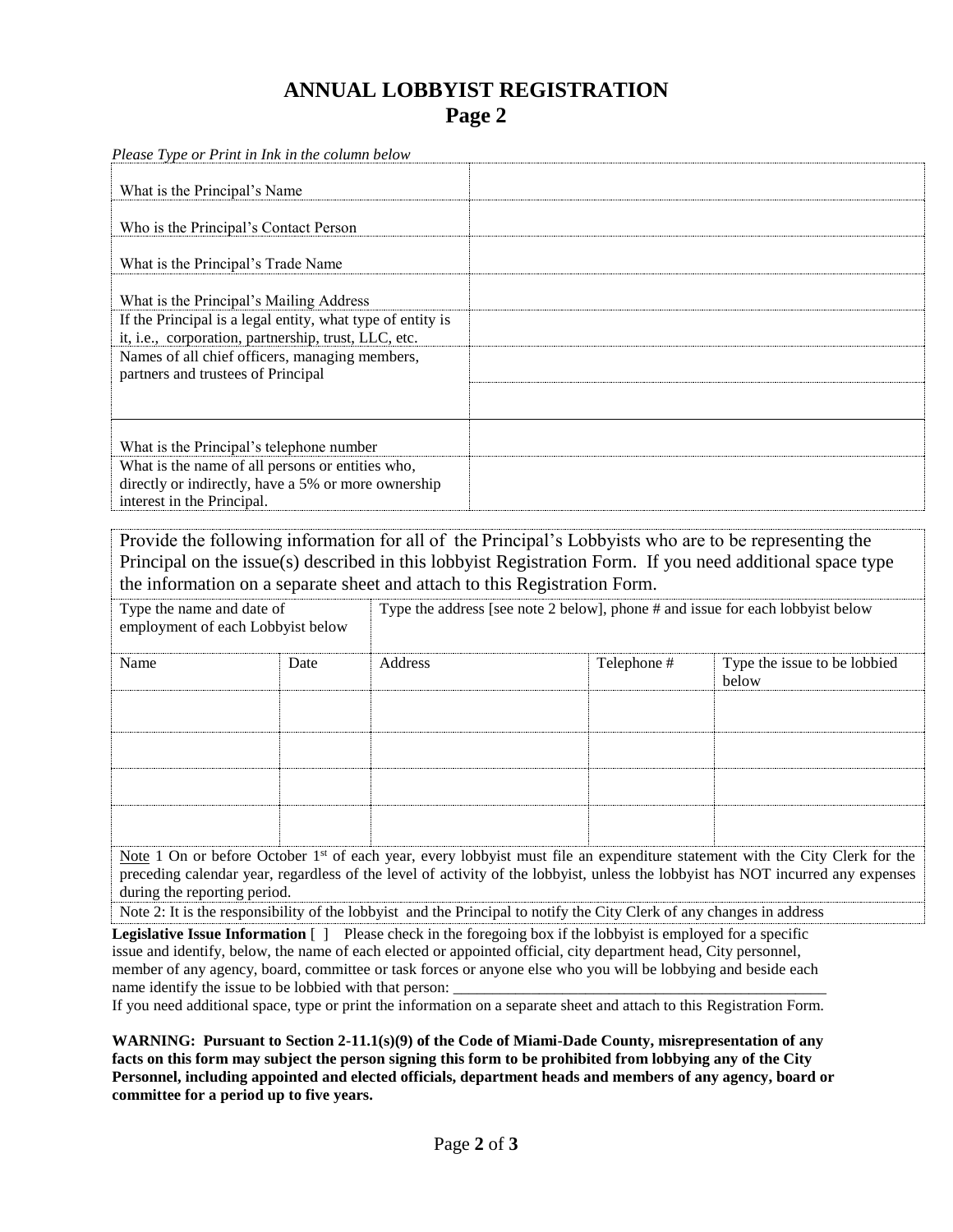# **ANNUAL LOBBYIST REGISTRATION Page 2**

| Please Type or Print in Ink in the column below                                                                    |  |
|--------------------------------------------------------------------------------------------------------------------|--|
| What is the Principal's Name                                                                                       |  |
| Who is the Principal's Contact Person                                                                              |  |
| What is the Principal's Trade Name                                                                                 |  |
| What is the Principal's Mailing Address                                                                            |  |
| If the Principal is a legal entity, what type of entity is<br>it, i.e., corporation, partnership, trust, LLC, etc. |  |
| Names of all chief officers, managing members,<br>partners and trustees of Principal                               |  |
|                                                                                                                    |  |
| What is the Principal's telephone number                                                                           |  |
| What is the name of all persons or entities who,<br>directly or indirectly, have a 5% or more ownership            |  |
| interest in the Principal.                                                                                         |  |

Provide the following information for all of the Principal's Lobbyists who are to be representing the Principal on the issue(s) described in this lobbyist Registration Form. If you need additional space type the information on a separate sheet and attach to this Registration Form.

Type the name and date of employment of each Lobbyist below Type the address [see note 2 below], phone # and issue for each lobbyist below

| Name | Date | Address | Telephone # | Type the issue to be lobbied<br>below |
|------|------|---------|-------------|---------------------------------------|
|      |      |         |             |                                       |
|      |      |         |             |                                       |
|      |      |         |             |                                       |
|      |      |         |             |                                       |

Note 1 On or before October 1<sup>st</sup> of each year, every lobbyist must file an expenditure statement with the City Clerk for the preceding calendar year, regardless of the level of activity of the lobbyist, unless the lobbyist has NOT incurred any expenses during the reporting period.

Note 2: It is the responsibility of the lobbyist and the Principal to notify the City Clerk of any changes in address

**Legislative Issue Information**  $\begin{bmatrix} \end{bmatrix}$  Please check in the foregoing box if the lobbyist is employed for a specific issue and identify, below, the name of each elected or appointed official, city department head, City personnel, member of any agency, board, committee or task forces or anyone else who you will be lobbying and beside each name identify the issue to be lobbied with that person:

If you need additional space, type or print the information on a separate sheet and attach to this Registration Form.

**WARNING: Pursuant to Section 2-11.1(s)(9) of the Code of Miami-Dade County, misrepresentation of any facts on this form may subject the person signing this form to be prohibited from lobbying any of the City Personnel, including appointed and elected officials, department heads and members of any agency, board or committee for a period up to five years.**